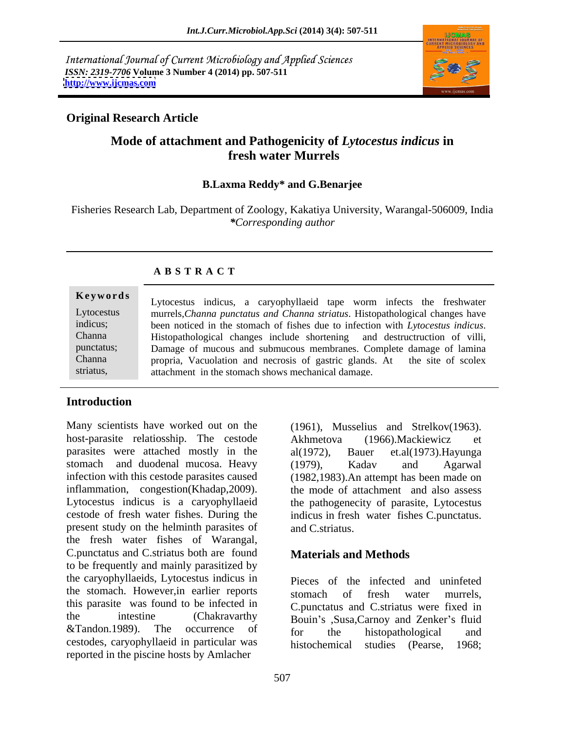International Journal of Current Microbiology and Applied Sciences *ISSN: 2319-7706* **Volume 3 Number 4 (2014) pp. 507-511 <http://www.ijcmas.com>**



# **Original Research Article**

# **Mode of attachment and Pathogenicity of** *Lytocestus indicus* **in fresh water Murrels**

## **B.Laxma Reddy\* and G.Benarjee**

Fisheries Research Lab, Department of Zoology, Kakatiya University, Warangal-506009, India *\*Corresponding author* 

| Keywords   | Lytocestus indicus, a caryophyllaeid tape worm infects the freshwater           |  |
|------------|---------------------------------------------------------------------------------|--|
| Lytocestus | murrels, Channa punctatus and Channa striatus. Histopathological changes have   |  |
| indicus;   | been noticed in the stomach of fishes due to infection with Lytocestus indicus. |  |
| Channa     | Histopathological changes include shortening and destructruction of villi,      |  |
| punctatus; | Damage of mucous and submucous membranes. Complete damage of lamina             |  |
| Channa     | propria, Vacuolation and necrosis of gastric glands. At the site of scolex      |  |
| striatus,  | attachment in the stomach shows mechanical damage.                              |  |

## **A B S T R A C T**

# **Introduction**

Many scientists have worked out on the (1961), Musselius and Strelkov(1963). host-parasite relatiosship. The cestode Akhmetova (1966). Mackiewicz et parasites were attached mostly in the al(1972), Bauer et.al(1973). Hayunga stomach and duodenal mucosa. Heavy (1979), Kadav and Agarwal infection with this cestode parasites caused (1982,1983). An attempt has been made on inflammation, congestion(Khadap,2009). Lytocestus indicus is a caryophyllaeid the pathogenecity of parasite, Lytocestus cestode of fresh water fishes. During the indicus in fresh water fishes C.punctatus. present study on the helminth parasites of and C striatus. the fresh water fishes of Warangal, C.punctatus and C.striatus both are found to be frequently and mainly parasitized by the caryophyllaeids, Lytocestus indicus in the stomach. However,in earlier reports this parasite was found to be infected in the intestine (Chakravarthy Bouin's Susa,Carnoy and Zenker's fluid  $&$ Tandon.1989). The occurrence of  $_{\text{for}}$  the histopathological and cestodes, caryophyllaeid in particular was reported in the piscine hosts by Amlacher

Akhmetova (1966).Mackiewicz et al(1972), Bauer et.al(1973).Hayunga (1979), Kadav and Agarwal the mode of attachment and also assess and C.striatus.

## **Materials and Methods**

Pieces of the infected and uninfeted stomach of fresh water murrels, C.punctatus and C.striatus were fixed in for the histopathological and studies (Pearse, 1968;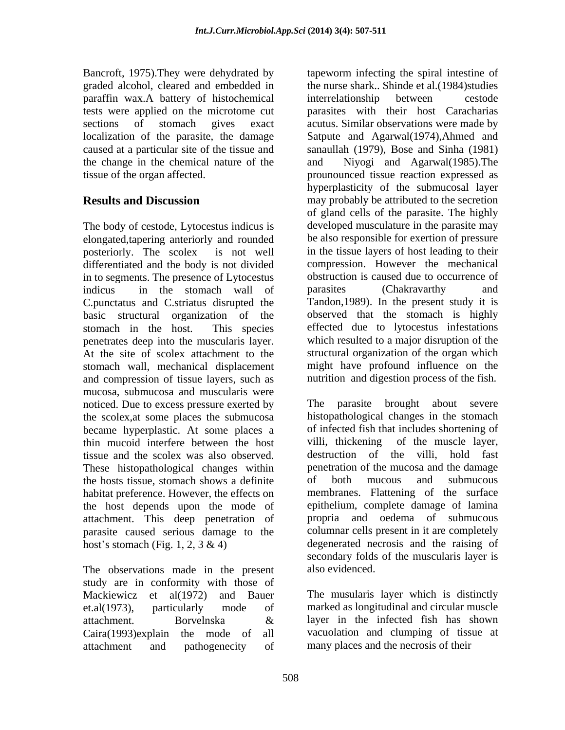paraffin wax.A battery of histochemical the change in the chemical nature of the

The body of cestode, Lytocestus indicus is elongated,tapering anteriorly and rounded differentiated and the body is not divided in to segments. The presence of Lytocestus obstruction is caused due to occination is caused due to occination is caused due to occination is caused due to occination is caused that the stomach wall of parasites (Chakravar indicus in the stomach wall of parasites (Chakravarthy and C.punctatus and C.striatus disrupted the basic structural organization of the penetrates deep into the muscularis layer. At the site of scolex attachment to the and compression of tissue layers, such as nutrition and digestion process of the fish. mucosa, submucosa and muscularis were noticed. Due to excess pressure exerted by The the scolex,at some places the submucosa became hyperplastic. At some places a of infected fish that includes shortening of thin mucoid interfere between the host villi, thickening of the muscle layer, thin mucoid interfere between the host tissue and the scolex was also observed. These histopathological changes within the hosts tissue, stomach shows a definite habitat preference. However, the effects on the host depends upon the mode of attachment. This deep penetration of parasite caused serious damage to the

The observations made in the present also evidenced. study are in conformity with those of Mackiewicz et al(1972) and Bauer et.al(1973), particularly mode of marked as longitudinal and circular muscle attachment. Borvelnska  $\&$  layer in the infected fish has shown Caira(1993)explain the mode of all attachment and pathogenecity of many places and the necrosis of their

Bancroft, 1975).They were dehydrated by tapeworm infecting the spiral intestine of graded alcohol, cleared and embedded in the nurse shark.. Shinde et al.(1984)studies tests were applied on the microtome cut parasites with their host Caracharias sections of stomach gives exact acutus. Similar observations were made by localization of the parasite, the damage Satpute and Agarwal(1974),Ahmed and caused at a particular site of the tissue and sanaullah (1979), Bose and Sinha (1981) tissue of the organ affected. prounounced tissue reaction expressed as **Results and Discussion** may probably be attributed to the secretion posteriorly. The scolex is not well in the tissue layers of host leading to their stomach in the host. This species effected due to lytocestus infestations stomach wall, mechanical displacement might have profound influence on the interrelationship between cestode and Niyogi and Agarwal(1985).The hyperplasticity of the submucosal layer of gland cells of the parasite. The highly developed musculature in the parasite may be also responsible for exertion of pressure compression. However the mechanical obstruction is caused due to occurrence of parasites (Chakravarthy and Tandon,1989). In the present study it is observed that the stomach is highly which resulted to a major disruption of the structural organization of the organ which

host's stomach (Fig. 1, 2, 3 & 4) degenerated necrosis and the raising of parasite brought about severe histopathological changes in the stomach of infected fish that includes shortening of villi, thickening of the muscle layer, destruction of the villi, hold fast penetration of the mucosa and the damage of both mucous and submucous membranes. Flattening of the surface epithelium, complete damage of lamina propria and oedema of submucous columnar cells present in it are completely degenerated necrosis and the raising of secondary folds of the muscularis layer is also evidenced.

> The musularis layer which is distinctly layer in the infected fish has shown vacuolation and clumping of tissue at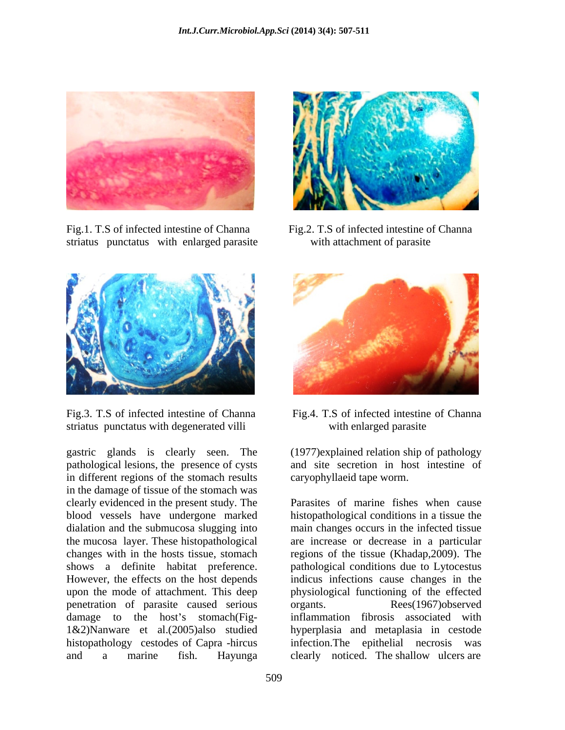

striatus punctatus with enlarged parasite with attachment of parasite





striatus punctatus with degenerated villi with enlarged parasite

gastric glands is clearly seen. The (1977)explained relation ship of pathology pathological lesions, the presence of cysts in different regions of the stomach results in the damage of tissue of the stomach was blood vessels have undergone marked the mucosa layer. These histopathological However, the effects on the host depends upon the mode of attachment. This deep penetration of parasite caused serious organts. Rees(1967) observed 1&2)Nanware et al.(2005)also studied histopathology cestodes of Capra -hircus



and site secretion in host intestine of caryophyllaeid tape worm.

clearly evidenced in the present study. The Parasites of marine fishes when cause dialation and the submucosa slugging into main changes occurs in the infected tissue changes with in the hosts tissue, stomach regions of the tissue (Khadap,2009). The shows a definite habitat preference. pathological conditions due to Lytocestus damage to the host's stomach(Fig- inflammation fibrosis associated with and a marine fish. Hayunga clearly noticed. The shallow ulcers are histopathological conditions in a tissue the are increase or decrease in a particular indicus infections cause changes in the physiological functioning of the effected organts. Rees(1967)observed hyperplasia and metaplasia in cestode infection.The epithelial necrosis was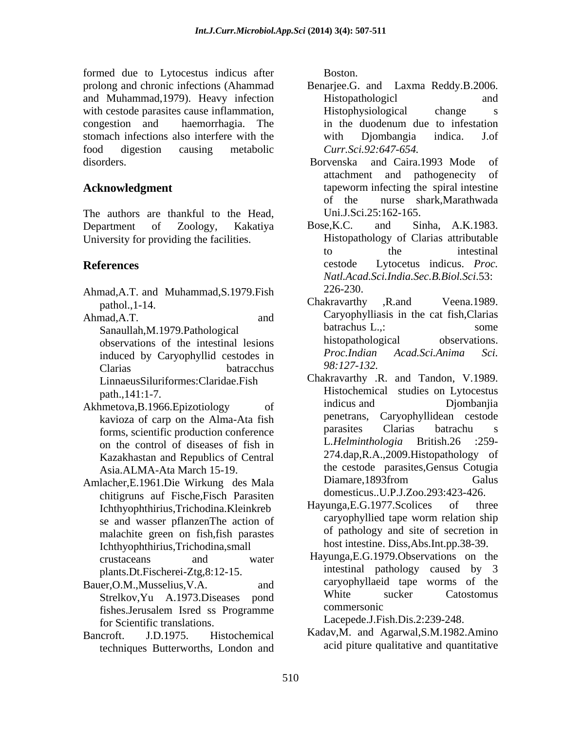formed due to Lytocestus indicus after Boston. prolong and chronic infections (Ahammad Benarjee.G. and Laxma Reddy.B.2006. and Muhammad,1979). Heavy infection with cestode parasites cause inflammation, This extends the parasites cause inflammation, This extends the parasites of the state of the state of the state of the state of the state of the state of the state of the state o congestion and haemorrhagia. The stomach infections also interfere with the with Djombangia indica. J.of food digestion causing metabolic Curr.Sci.92:647-654.

The authors are thankful to the Head, Uni.J.S<br>Department of Zoology Kakativa Bose.K.C.

- Ahmad,A.T. and Muhammad,S.1979.Fish 226-230.<br>Chakravarthy .R.and Veena.1989.
- induced by Caryophyllid cestodes in *Proc.Indian*<br>Clarias **batracchus** 98:127-132.  $\mu$ Clarias batracchus  $\frac{98.12}{-132}$ . LinnaeusSiluriformes:Claridae.Fish
- on the control of diseases of fish in Kazakhastan and Republics of Central
- Amlacher,E.1961.Die Wirkung des Mala chitigruns auf Fische,Fisch Parasiten<br>
Ichthyophthirius Trichodine Kleinkreb Havunga,E.G.1977.Scolices of three se and wasser pflanzenThe action of malachite green on fish,fish parastes Ichthyophthirius,Trichodina,small plants.Dt.Fischerei-Ztg,8:12-15.
- Bauer, O.M., Musselius, V.A. and caryophyllaeid tape worms of the fishes.Jerusalem Isred ss Programme for Scientific translations.
- techniques Butterworths, London and

Boston.

- Histopathologicl and Histophysiological change s in the duodenum due to infestation with Djombangia indica. J.of *Curr.Sci.92:647-654.*
- disorders. Borvenska and Caira.1993 Mode of **Acknowledgment** tapeworm infecting the spiral intestine attachment and pathogenecity of of the nurse shark,Marathwada Uni.J.Sci.25:162-165.
- Department of Zoology, Kakatiya Bose, K.C. and Sinha, A.K.1983. University for providing the facilities. Histopathology of Clarias attributable **References** cestode Lytocetus indicus. *Proc.*  Bose,K.C. and Sinha, A.K.1983. to the intestinal *Natl.Acad.Sci.India.Sec.B.Biol.Sci*.53: 226-230.
- pathol.,1-14. Chakravarthy R.and Veena.1989. Ahmad,A.T. and Caryophylliasis in the cat fish,Clarias Sanaullah,M.1979.Pathological batrachus L.,: some<br>
observations of the intestinal lesions histopathological observations. observations of the intestinal lesions histopathological observations.<br> *Proc.Indian Acad.Sci.Anima Sci.* Chakravarthy ,R.and Veena.1989. Caryophylliasis in the cat fish,Clarias batrachus L.,: some histopathological *Proc.Indian Acad.Sci.Anima Sci. 98:127-132.*
- path.,141:1-7. Histochemical studies on Lytocestus Akhmetova, B.1966. Epizotiology of indicus and Djombanjia kavioza of carp on the Alma-Ata fish exercises penetrans, Caryophyllidean cestode<br>forms scientific production conference parasites Clarias batrachu s forms, scientific production conference barractes Clarias batrachu s<br>Control of discosses of fish in L.Helminthologia British.26 :259-Asia.ALMA-Ata March 15-19. Chakravarthy .R. and Tandon, V.1989. indicus and Djombanjia penetrans, Caryophyllidean cestode parasites Clarias batrachu s L.Helminthologia British.26 274.dap,R.A.,2009.Histopathology of the cestode parasites,Gensus Cotugia Diamare, 1893 from Galus domesticus..U.P.J.Zoo.293:423-426.
	- Ichthyophthirius,Trichodina.Kleinkreb Hayunga,E.G.1977.Scolices of three<br>se and wasser pflanzenThe action of caryophyllied tape worm relation ship  $Hayunga, E.G.1977. \text{Scolices}$ caryophyllied tape worm relation ship of pathology and site of secretion in host intestine. Diss,Abs.Int.pp.38-39.
	- crustaceans and water Hayunga,E.G.1979.Observations on the Strelkov, Yu A.1973. Diseases pond White sucker Catostomus<br>
	Strelkov, Yu A.1973. Diseases pond White sucker Catostomus intestinal pathology caused by 3 caryophyllaeid tape worms of the White sucker Catostomus commersonic

Lacepede.J.Fish.Dis.2:239-248.

Bancroft. J.D.1975. Histochemical Kadav,M. and Agarwal,S.M.1982.Amino acid piture qualitative and quantitative